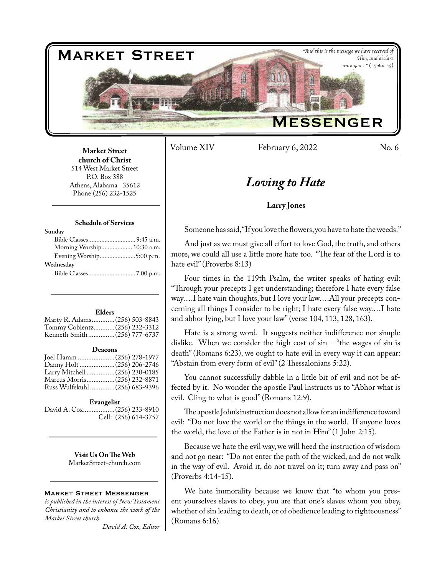

Volume XIV February 6, 2022 No. 6

# *Loving to Hate*

#### **Larry Jones**

Someone has said, "If you love the flowers, you have to hate the weeds."

And just as we must give all effort to love God, the truth, and others more, we could all use a little more hate too. "The fear of the Lord is to hate evil" (Proverbs 8:13)

Four times in the 119th Psalm, the writer speaks of hating evil: "Through your precepts I get understanding; therefore I hate every false way….I hate vain thoughts, but I love your law….All your precepts concerning all things I consider to be right; I hate every false way.…I hate and abhor lying, but I love your law" (verse 104, 113, 128, 163).

Hate is a strong word. It suggests neither indifference nor simple dislike. When we consider the high cost of  $sin -$  "the wages of  $sin is$ death" (Romans 6:23), we ought to hate evil in every way it can appear: "Abstain from every form of evil" (2 Thessalonians 5:22).

You cannot successfully dabble in a little bit of evil and not be affected by it. No wonder the apostle Paul instructs us to "Abhor what is evil. Cling to what is good" (Romans 12:9).

The apostle John's instruction does not allow for an indifference toward evil: "Do not love the world or the things in the world. If anyone loves the world, the love of the Father is in not in Him" (1 John 2:15).

Because we hate the evil way, we will heed the instruction of wisdom and not go near: "Do not enter the path of the wicked, and do not walk in the way of evil. Avoid it, do not travel on it; turn away and pass on" (Proverbs 4:14-15).

We hate immorality because we know that "to whom you present yourselves slaves to obey, you are that one's slaves whom you obey, whether of sin leading to death, or of obedience leading to righteousness" (Romans 6:16).

**Market Street church of Christ**  514 West Market Street P.O. Box 388 Athens, Alabama 35612 Phone (256) 232-1525

#### **Schedule of Services**

| Morning Worship 10:30 a.m. |
|----------------------------|
|                            |
|                            |
|                            |
|                            |

#### **Elders**

| Marty R. Adams (256) 503-8843 |  |
|-------------------------------|--|
| Tommy Coblentz (256) 232-3312 |  |
| Kenneth Smith(256) 777-6737   |  |

#### **Deacons**

| Joel Hamm  (256) 278-1977      |  |
|--------------------------------|--|
|                                |  |
| Larry Mitchell  (256) 230-0185 |  |
| Marcus Morris (256) 232-8871   |  |
| Russ Wulfekuhl  (256) 683-9396 |  |
|                                |  |

#### **Evangelist**

David A. Cox..................(256) 233-8910 Cell: (256) 614-3757

> **Visit Us On The Web** MarketStreet-church.com

#### Market Street Messenger

*is published in the interest of New Testament Christianity and to enhance the work of the Market Street church.*

*David A. Cox, Editor*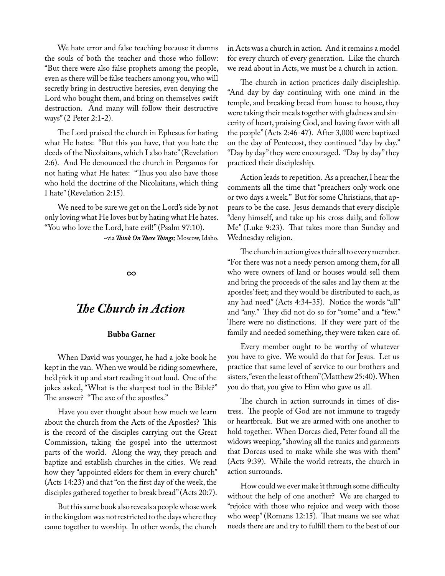We hate error and false teaching because it damns the souls of both the teacher and those who follow: "But there were also false prophets among the people, even as there will be false teachers among you, who will secretly bring in destructive heresies, even denying the Lord who bought them, and bring on themselves swift destruction. And many will follow their destructive ways" (2 Peter 2:1-2).

The Lord praised the church in Ephesus for hating what He hates: "But this you have, that you hate the deeds of the Nicolaitans, which I also hate" (Revelation 2:6). And He denounced the church in Pergamos for not hating what He hates: "Thus you also have those who hold the doctrine of the Nicolaitans, which thing I hate" (Revelation 2:15).

We need to be sure we get on the Lord's side by not only loving what He loves but by hating what He hates. "You who love the Lord, hate evil!" (Psalm 97:10).

~via *Think On These Things;* Moscow, Idaho.

*∞*

### *The Church in Action*

#### **Bubba Garner**

When David was younger, he had a joke book he kept in the van. When we would be riding somewhere, he'd pick it up and start reading it out loud. One of the jokes asked, "What is the sharpest tool in the Bible?" The answer? "The axe of the apostles."

Have you ever thought about how much we learn about the church from the Acts of the Apostles? This is the record of the disciples carrying out the Great Commission, taking the gospel into the uttermost parts of the world. Along the way, they preach and baptize and establish churches in the cities. We read how they "appointed elders for them in every church" (Acts 14:23) and that "on the first day of the week, the disciples gathered together to break bread" (Acts 20:7).

But this same book also reveals a people whose work in the kingdom was not restricted to the days where they came together to worship. In other words, the church

in Acts was a church in action. And it remains a model for every church of every generation. Like the church we read about in Acts, we must be a church in action.

The church in action practices daily discipleship. "And day by day continuing with one mind in the temple, and breaking bread from house to house, they were taking their meals together with gladness and sincerity of heart, praising God, and having favor with all the people" (Acts 2:46-47). After 3,000 were baptized on the day of Pentecost, they continued "day by day." "Day by day" they were encouraged. "Day by day" they practiced their discipleship.

Action leads to repetition. As a preacher, I hear the comments all the time that "preachers only work one or two days a week." But for some Christians, that appears to be the case. Jesus demands that every disciple "deny himself, and take up his cross daily, and follow Me" (Luke 9:23). That takes more than Sunday and Wednesday religion.

The church in action gives their all to every member. "For there was not a needy person among them, for all who were owners of land or houses would sell them and bring the proceeds of the sales and lay them at the apostles' feet; and they would be distributed to each, as any had need" (Acts 4:34-35). Notice the words "all" and "any." They did not do so for "some" and a "few." There were no distinctions. If they were part of the family and needed something, they were taken care of.

Every member ought to be worthy of whatever you have to give. We would do that for Jesus. Let us practice that same level of service to our brothers and sisters, "even the least of them" (Matthew 25:40). When you do that, you give to Him who gave us all.

The church in action surrounds in times of distress. The people of God are not immune to tragedy or heartbreak. But we are armed with one another to hold together. When Dorcas died, Peter found all the widows weeping, "showing all the tunics and garments that Dorcas used to make while she was with them" (Acts 9:39). While the world retreats, the church in action surrounds.

How could we ever make it through some difficulty without the help of one another? We are charged to "rejoice with those who rejoice and weep with those who weep" (Romans 12:15). That means we see what needs there are and try to fulfill them to the best of our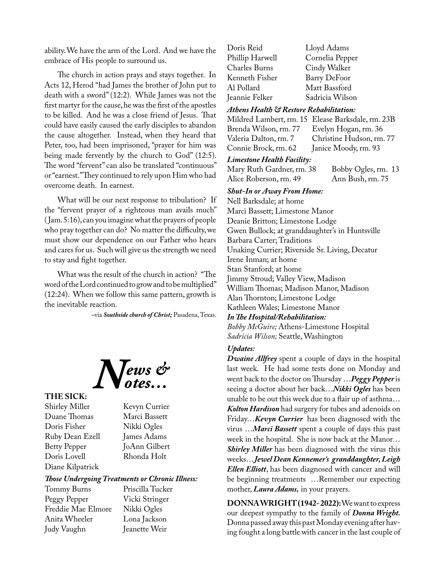ability. We have the arm of the Lord. And we have the embrace of His people to surround us.

The church in action prays and stays together. In Acts 12, Herod "had James the brother of John put to death with a sword" (12:2). While James was not the first martyr for the cause, he was the first of the apostles to be killed. And he was a close friend of Jesus. That could have easily caused the early disciples to abandon the cause altogether. Instead, when they heard that Peter, too, had been imprisoned, "prayer for him was being made fervently by the church to God" (12:5). The word "fervent" can also be translated "continuous" or "earnest." They continued to rely upon Him who had overcome death. In earnest.

What will be our next response to tribulation? If the "fervent prayer of a righteous man avails much" ( Jam. 5:16), can you imagine what the prayers of people who pray together can do? No matter the difficulty, we must show our dependence on our Father who hears and cares for us. Such will give us the strength we need to stay and fight together.

What was the result of the church in action? "The word of the Lord continued to grow and to be multiplied" (12:24). When we follow this same pattern, growth is the inevitable reaction.

~via *Southside church of Christ;* Pasadena, Texas.



#### **THE SICK:**

Shirley Miller Kevyn Currier Duane Thomas Marci Bassett Doris Fisher Nikki Ogles Ruby Dean Ezell James Adams Betty Pepper JoAnn Gilbert Doris Lovell Rhonda Holt Diane Kilpatrick

. Tucker

#### *Those Undergoing Treatments or Chronic Illness:*

| Tommy Burns        | Priscilla Tucke |
|--------------------|-----------------|
| Peggy Pepper       | Vicki Stringer  |
| Freddie Mae Elmore | Nikki Ogles     |
| Anita Wheeler      | Lona Jackson    |
| Judy Vaughn        | Jeanette Weir   |

Doris Reid Lloyd Adams Phillip Harwell Cornelia Pepper<br>Charles Burns Cindy Walker Cindy Walker Kenneth Fisher Barry DeFoor<br>Al Pollard Matt Bassford Al Pollard Matt Bassford<br>Ieannie Felker Sadricia Wilso Sadricia Wilson

#### *Athens Health & Restore Rehabilitation:*

Mildred Lambert, rm. 15 Elease Barksdale, rm. 23B Brenda Wilson, rm. 77 Evelyn Hogan, rm. 36 Valeria Dalton, rm. 7 Christine Hudson, rm. 77<br>Connie Brock, rm. 62 Janice Moody, rm. 93 Janice Moody, rm. 93

#### *Limestone Health Facility:*

Mary Ruth Gardner, rm. 38 Bobby Ogles, rm. 13<br>Alice Roberson, rm. 49 Ann Bush, rm. 75 Alice Roberson, rm. 49

#### *Shut-In or Away From Home:*

Nell Barksdale; at home Marci Bassett; Limestone Manor Deanie Britton; Limestone Lodge Gwen Bullock; at granddaughter's in Huntsville Barbara Carter; Traditions Unaking Currier; Riverside Sr. Living, Decatur Irene Inman; at home Stan Stanford; at home Jimmy Stroud; Valley View, Madison William Thomas; Madison Manor, Madison Alan Thornton; Limestone Lodge Kathleen Wales; Limestone Manor *In The Hospital/Rehabilitation: Bobby McGuire;* Athens-Limestone Hospital *Sadricia Wilson;* Seattle, Washington

#### *Updates:*

*Dwaine Allfrey* spent a couple of days in the hospital last week. He had some tests done on Monday and went back to the doctor on Thursday …*Peggy Pepper* is seeing a doctor about her back…*Nikki Ogles* has been unable to be out this week due to a flair up of asthma… *Kolton Hardison* had surgery for tubes and adenoids on Friday…*Kevyn Currier* has been diagnosed with the virus …*Marci Bassett* spent a couple of days this past week in the hospital. She is now back at the Manor… *Shirley Miller* has been diagnosed with the virus this weeks…*Jewel Dean Kennemer's granddaughter, Leigh Ellen Elliott*, has been diagnosed with cancer and will be beginning treatments …Remember our expecting mother, *Laura Adams,* in your prayers.

**DONNA WRIGHT (1942- 2022):** We want to express our deepest sympathy to the family of *Donna Wright.* Donna passed away this past Monday evening after having fought a long battle with cancer in the last couple of